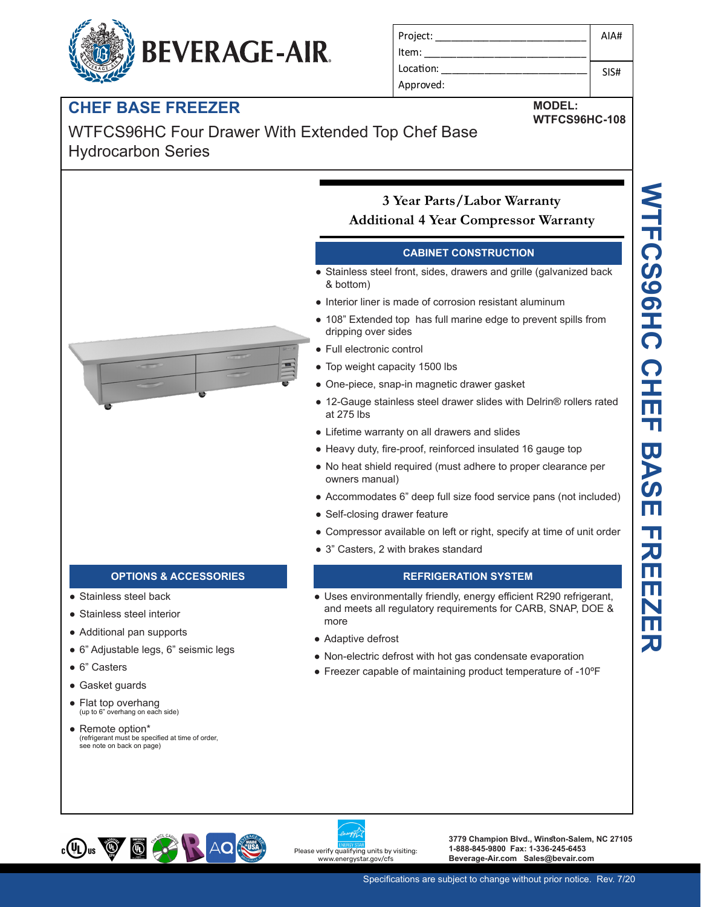# **BEVERAGE-AIR.**

| Project:  | AIA# |
|-----------|------|
| ltem:     |      |
| Location: | SIS# |
| Approved: |      |

**MODEL:**

**WTFCS96HC-108**

### **CHEF BASE FREEZER**

### WTFCS96HC Four Drawer With Extended Top Chef Base Hydrocarbon Series



#### **OPTIONS & ACCESSORIES REFRIGERATION SYSTEM**

- Stainless steel back
- Stainless steel interior
- Additional pan supports
- 6" Adjustable legs, 6" seismic legs
- 6" Casters
- Gasket guards
- Flat top overhang (up to 6" overhang on each side)
- Remote option\* (refrigerant must be specified at time of order, see note on back on page)

#### **3 Year Parts/Labor Warranty Additional 4 Year Compressor Warranty**

#### **CABINET CONSTRUCTION**

- Stainless steel front, sides, drawers and grille (galvanized back & bottom)
- Interior liner is made of corrosion resistant aluminum
- 108" Extended top has full marine edge to prevent spills from dripping over sides
- Full electronic control
- Top weight capacity 1500 lbs
- One-piece, snap-in magnetic drawer gasket
- 12-Gauge stainless steel drawer slides with Delrin® rollers rated at 275 lbs
- Lifetime warranty on all drawers and slides
- Heavy duty, fire-proof, reinforced insulated 16 gauge top
- No heat shield required (must adhere to proper clearance per owners manual)
- Accommodates 6" deep full size food service pans (not included)
- Self-closing drawer feature
- Compressor available on left or right, specify at time of unit order
- 3" Casters, 2 with brakes standard

- Uses environmentally friendly, energy efficient R290 refrigerant, and meets all regulatory requirements for CARB, SNAP, DOE & more
- Adaptive defrost
- Non-electric defrost with hot gas condensate evaporation
- Freezer capable of maintaining product temperature of -10ºF





**3779 Champion Blvd., Winston-Salem, NC 27105 1-888-845-9800 Fax: 1-336-245-6453 Beverage-Air.com Sales@bevair.com**